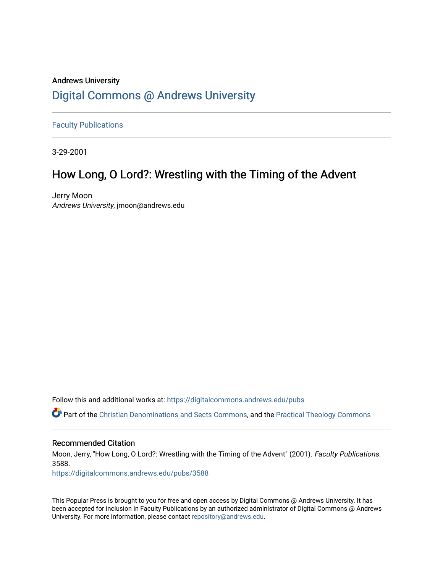## Andrews University [Digital Commons @ Andrews University](https://digitalcommons.andrews.edu/)

[Faculty Publications](https://digitalcommons.andrews.edu/pubs)

3-29-2001

## How Long, O Lord?: Wrestling with the Timing of the Advent

Jerry Moon Andrews University, jmoon@andrews.edu

Follow this and additional works at: [https://digitalcommons.andrews.edu/pubs](https://digitalcommons.andrews.edu/pubs?utm_source=digitalcommons.andrews.edu%2Fpubs%2F3588&utm_medium=PDF&utm_campaign=PDFCoverPages) 

Part of the [Christian Denominations and Sects Commons,](http://network.bepress.com/hgg/discipline/1184?utm_source=digitalcommons.andrews.edu%2Fpubs%2F3588&utm_medium=PDF&utm_campaign=PDFCoverPages) and the [Practical Theology Commons](http://network.bepress.com/hgg/discipline/1186?utm_source=digitalcommons.andrews.edu%2Fpubs%2F3588&utm_medium=PDF&utm_campaign=PDFCoverPages) 

### Recommended Citation

Moon, Jerry, "How Long, O Lord?: Wrestling with the Timing of the Advent" (2001). Faculty Publications. 3588.

[https://digitalcommons.andrews.edu/pubs/3588](https://digitalcommons.andrews.edu/pubs/3588?utm_source=digitalcommons.andrews.edu%2Fpubs%2F3588&utm_medium=PDF&utm_campaign=PDFCoverPages) 

This Popular Press is brought to you for free and open access by Digital Commons @ Andrews University. It has been accepted for inclusion in Faculty Publications by an authorized administrator of Digital Commons @ Andrews University. For more information, please contact [repository@andrews.edu](mailto:repository@andrews.edu).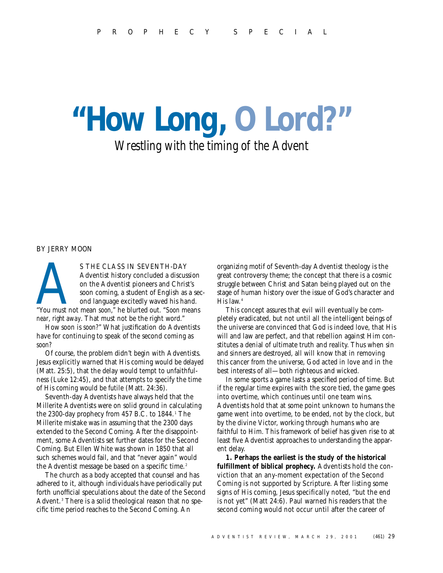# **"How Long, O Lord?"** *Wrestling with the timing of the Advent*

#### BY JERRY MOON

S THE CLASS IN SEVENTH-DAY<br>Adventist history concluded a discussion<br>on the Adventist pioneers and Christ's<br>soon coming, a student of English as a se<br>ond language excitedly waved his hand.<br>"You must not mean *soon*," he blu Adventist history concluded a discussion on the Adventist pioneers and Christ's soon coming, a student of English as a second language excitedly waved his hand. *near*, *right away*. That must not be the right word."

How soon is *soon?*" What justification do Adventists have for continuing to speak of the second coming as *soon?*

Of course, the problem didn't begin with Adventists. Jesus explicitly warned that His coming would be *delayed* (Matt. 25:5), that the delay would tempt to unfaithfulness (Luke 12:45), and that attempts to specify the time of His coming would be futile (Matt. 24:36).

Seventh-day Adventists have always held that the Millerite Adventists were on solid ground in calculating the 2300-day prophecy from 457 B.C. to  $1844.1$  The Millerite mistake was in assuming that the 2300 days extended to the Second Coming. After the disappointment, some Adventists set further dates for the Second Coming. But Ellen White was shown in 1850 that all such schemes would fail, and that "never again" would the Adventist message be based on a specific time.<sup>2</sup>

The church as a body accepted that counsel and has adhered to it, although individuals have periodically put forth unofficial speculations about the date of the Second Advent.<sup>3</sup> There is a solid theological reason that no specific time period reaches to the Second Coming. An

organizing motif of Seventh-day Adventist theology is the great controversy theme; the concept that there is a cosmic struggle between Christ and Satan being played out on the stage of human history over the issue of God's character and His law. <sup>4</sup>

This concept assures that evil will eventually be completely eradicated, but not until all the intelligent beings of the universe are convinced that God is indeed love, that His will and law are perfect, and that rebellion against Him constitutes a denial of ultimate truth and reality. Thus when sin and sinners are destroyed, all will know that in removing this cancer from the universe, God acted in love and in the best interests of all—both righteous and wicked.

In some sports a game lasts a specified period of time. But if the regular time expires with the score tied, the game goes into overtime, which continues until one team wins. Adventists hold that at some point unknown to humans the game went into overtime, to be ended, not by the clock, but by the divine Victor, working through humans who are faithful to Him. This framework of belief has given rise to at least five Adventist approaches to understanding the apparent delay.

**1. Perhaps the earliest is the study of the historical fulfillment of biblical prophecy.** Adventists hold the conviction that an any-moment expectation of the Second Coming is not supported by Scripture. After listing some signs of His coming, Jesus specifically noted, "but the end is not yet" (Matt 24:6). Paul warned his readers that the second coming would not occur until after the career of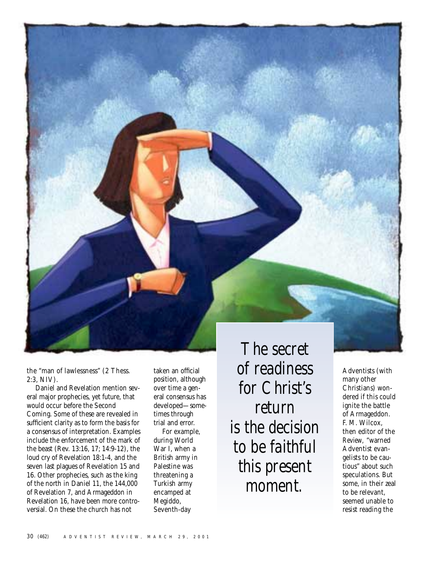

the "man of lawlessness" (2 Thess. 2:3, NIV).

Daniel and Revelation mention several major prophecies, yet future, that would occur before the Second Coming. Some of these are revealed in sufficient clarity as to form the basis for a consensus of interpretation. Examples include the enforcement of the mark of the beast (Rev. 13:16, 17; 14:9-12), the loud cry of Revelation 18:1-4, and the seven last plagues of Revelation 15 and 16. Other prophecies, such as the king of the north in Daniel 11, the 144,000 of Revelation 7, and Armageddon in Revelation 16, have been more controversial. On these the church has not

taken an official position, although over time a general consensus has developed—sometimes through trial and error.

For example, during World War I, when a British army in Palestine was threatening a Turkish army encamped at Megiddo, Seventh-day

*The secret of readiness for Christ's return is the decision to be faithful this present moment.*

Adventists (with many other Christians) wondered if this could ignite the battle of Armageddon. F. M. Wilcox, then editor of the *Review,* "warned Adventist evangelists to be cautious" about such speculations. But some, in their zeal to be relevant, seemed unable to resist reading the